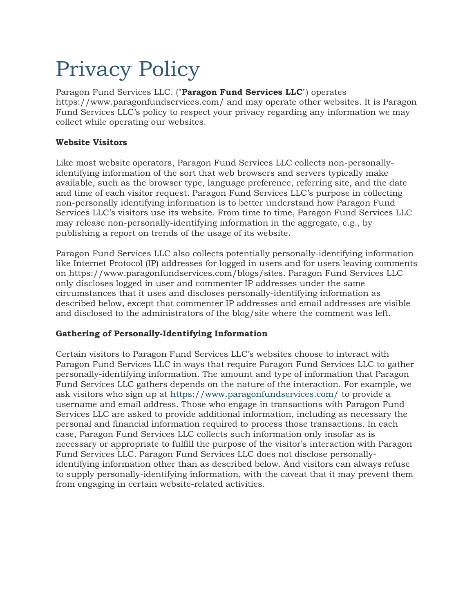# Privacy Policy

Paragon Fund Services LLC. ("Paragon Fund Services LLC") operates https://www.paragonfundservices.com/ and may operate other websites. It is Paragon Fund Services LLC's policy to respect your privacy regarding any information we may collect while operating our websites.

# Website Visitors

Like most website operators, Paragon Fund Services LLC collects non-personallyidentifying information of the sort that web browsers and servers typically make available, such as the browser type, language preference, referring site, and the date and time of each visitor request. Paragon Fund Services LLC's purpose in collecting non-personally identifying information is to better understand how Paragon Fund Services LLC's visitors use its website. From time to time, Paragon Fund Services LLC may release non-personally-identifying information in the aggregate, e.g., by publishing a report on trends of the usage of its website.

Paragon Fund Services LLC also collects potentially personally-identifying information like Internet Protocol (IP) addresses for logged in users and for users leaving comments on https://www.paragonfundservices.com/blogs/sites. Paragon Fund Services LLC only discloses logged in user and commenter IP addresses under the same circumstances that it uses and discloses personally-identifying information as described below, except that commenter IP addresses and email addresses are visible and disclosed to the administrators of the blog/site where the comment was left.

## Gathering of Personally-Identifying Information

Certain visitors to Paragon Fund Services LLC's websites choose to interact with Paragon Fund Services LLC in ways that require Paragon Fund Services LLC to gather personally-identifying information. The amount and type of information that Paragon Fund Services LLC gathers depends on the nature of the interaction. For example, we ask visitors who sign up at https://www.paragonfundservices.com/ to provide a username and email address. Those who engage in transactions with Paragon Fund Services LLC are asked to provide additional information, including as necessary the personal and financial information required to process those transactions. In each case, Paragon Fund Services LLC collects such information only insofar as is necessary or appropriate to fulfill the purpose of the visitor's interaction with Paragon Fund Services LLC. Paragon Fund Services LLC does not disclose personallyidentifying information other than as described below. And visitors can always refuse to supply personally-identifying information, with the caveat that it may prevent them from engaging in certain website-related activities.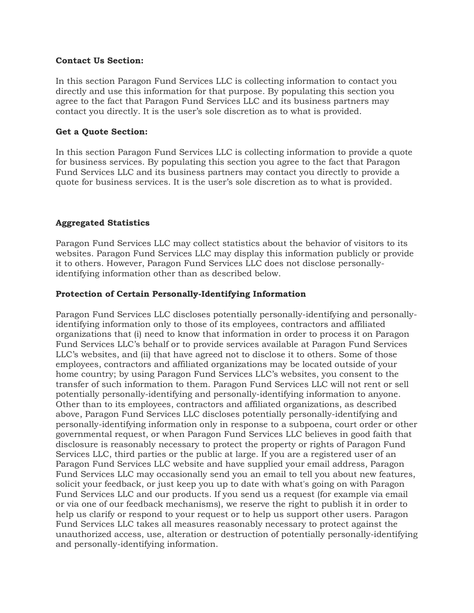#### Contact Us Section:

In this section Paragon Fund Services LLC is collecting information to contact you directly and use this information for that purpose. By populating this section you agree to the fact that Paragon Fund Services LLC and its business partners may contact you directly. It is the user's sole discretion as to what is provided.

## Get a Quote Section:

In this section Paragon Fund Services LLC is collecting information to provide a quote for business services. By populating this section you agree to the fact that Paragon Fund Services LLC and its business partners may contact you directly to provide a quote for business services. It is the user's sole discretion as to what is provided.

## Aggregated Statistics

Paragon Fund Services LLC may collect statistics about the behavior of visitors to its websites. Paragon Fund Services LLC may display this information publicly or provide it to others. However, Paragon Fund Services LLC does not disclose personallyidentifying information other than as described below.

## Protection of Certain Personally-Identifying Information

Paragon Fund Services LLC discloses potentially personally-identifying and personallyidentifying information only to those of its employees, contractors and affiliated organizations that (i) need to know that information in order to process it on Paragon Fund Services LLC's behalf or to provide services available at Paragon Fund Services LLC's websites, and (ii) that have agreed not to disclose it to others. Some of those employees, contractors and affiliated organizations may be located outside of your home country; by using Paragon Fund Services LLC's websites, you consent to the transfer of such information to them. Paragon Fund Services LLC will not rent or sell potentially personally-identifying and personally-identifying information to anyone. Other than to its employees, contractors and affiliated organizations, as described above, Paragon Fund Services LLC discloses potentially personally-identifying and personally-identifying information only in response to a subpoena, court order or other governmental request, or when Paragon Fund Services LLC believes in good faith that disclosure is reasonably necessary to protect the property or rights of Paragon Fund Services LLC, third parties or the public at large. If you are a registered user of an Paragon Fund Services LLC website and have supplied your email address, Paragon Fund Services LLC may occasionally send you an email to tell you about new features, solicit your feedback, or just keep you up to date with what's going on with Paragon Fund Services LLC and our products. If you send us a request (for example via email or via one of our feedback mechanisms), we reserve the right to publish it in order to help us clarify or respond to your request or to help us support other users. Paragon Fund Services LLC takes all measures reasonably necessary to protect against the unauthorized access, use, alteration or destruction of potentially personally-identifying and personally-identifying information.